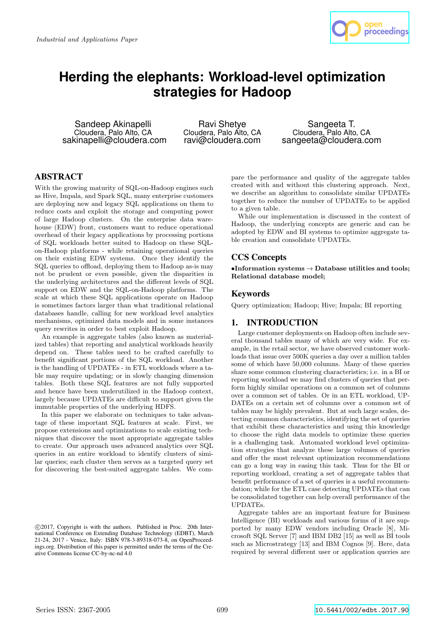

# **Herding the elephants: Workload-level optimization strategies for Hadoop**

Sandeep Akinapelli Cloudera, Palo Alto, CA sakinapelli@cloudera.com

Ravi Shetye Cloudera, Palo Alto, CA ravi@cloudera.com

Sangeeta T. Cloudera, Palo Alto, CA sangeeta@cloudera.com

# ABSTRACT

With the growing maturity of SQL-on-Hadoop engines such as Hive, Impala, and Spark SQL, many enterprise customers are deploying new and legacy SQL applications on them to reduce costs and exploit the storage and computing power of large Hadoop clusters. On the enterprise data warehouse (EDW) front, customers want to reduce operational overhead of their legacy applications by processing portions of SQL workloads better suited to Hadoop on these SQLon-Hadoop platforms - while retaining operational queries on their existing EDW systems. Once they identify the SQL queries to offload, deploying them to Hadoop as-is may not be prudent or even possible, given the disparities in the underlying architectures and the different levels of SQL support on EDW and the SQL-on-Hadoop platforms. The scale at which these SQL applications operate on Hadoop is sometimes factors larger than what traditional relational databases handle, calling for new workload level analytics mechanisms, optimized data models and in some instances query rewrites in order to best exploit Hadoop.

An example is aggregate tables (also known as materialized tables) that reporting and analytical workloads heavily depend on. These tables need to be crafted carefully to benefit significant portions of the SQL workload. Another is the handling of UPDATEs - in ETL workloads where a table may require updating; or in slowly changing dimension tables. Both these SQL features are not fully supported and hence have been underutilized in the Hadoop context, largely because UPDATEs are difficult to support given the immutable properties of the underlying HDFS.

In this paper we elaborate on techniques to take advantage of these important SQL features at scale. First, we propose extensions and optimizations to scale existing techniques that discover the most appropriate aggregate tables to create. Our approach uses advanced analytics over SQL queries in an entire workload to identify clusters of similar queries; each cluster then serves as a targeted query set for discovering the best-suited aggregate tables. We compare the performance and quality of the aggregate tables created with and without this clustering approach. Next, we describe an algorithm to consolidate similar UPDATEs together to reduce the number of UPDATEs to be applied to a given table.

While our implementation is discussed in the context of Hadoop, the underlying concepts are generic and can be adopted by EDW and BI systems to optimize aggregate table creation and consolidate UPDATEs.

# CCS Concepts

•Information systems  $\rightarrow$  Database utilities and tools; Relational database model;

# Keywords

Query optimization; Hadoop; Hive; Impala; BI reporting

# 1. INTRODUCTION

Large customer deployments on Hadoop often include several thousand tables many of which are very wide. For example, in the retail sector, we have observed customer workloads that issue over 500K queries a day over a million tables some of which have 50,000 columns. Many of these queries share some common clustering characteristics; i.e. in a BI or reporting workload we may find clusters of queries that perform highly similar operations on a common set of columns over a common set of tables. Or in an ETL workload, UP-DATEs on a certain set of columns over a common set of tables may be highly prevalent. But at such large scales, detecting common characteristics, identifying the set of queries that exhibit these characteristics and using this knowledge to choose the right data models to optimize these queries is a challenging task. Automated workload level optimization strategies that analyze these large volumes of queries and offer the most relevant optimization recommendations can go a long way in easing this task. Thus for the BI or reporting workload, creating a set of aggregate tables that benefit performance of a set of queries is a useful recommendation; while for the ETL case detecting UPDATEs that can be consolidated together can help overall performance of the UPDATEs.

Aggregate tables are an important feature for Business Intelligence (BI) workloads and various forms of it are supported by many EDW vendors including Oracle [8], Microsoft SQL Server [7] and IBM DB2 [15] as well as BI tools such as Microstrategy [13] and IBM Cognos [9]. Here, data required by several different user or application queries are

c 2017, Copyright is with the authors. Published in Proc. 20th International Conference on Extending Database Technology (EDBT), March 21-24, 2017 - Venice, Italy: ISBN 978-3-89318-073-8, on OpenProceedings.org. Distribution of this paper is permitted under the terms of the Creative Commons license CC-by-nc-nd 4.0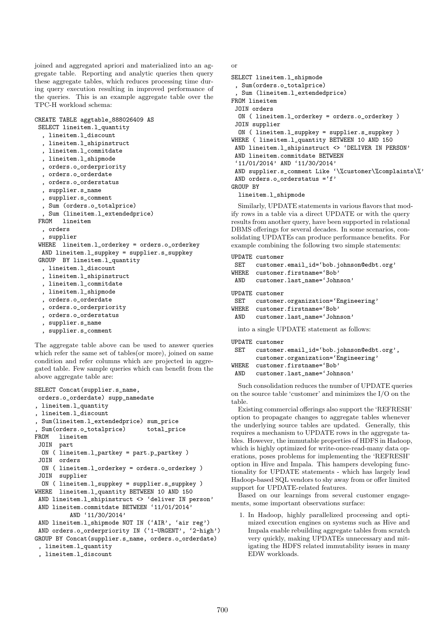joined and aggregated apriori and materialized into an aggregate table. Reporting and analytic queries then query these aggregate tables, which reduces processing time during query execution resulting in improved performance of the queries. This is an example aggregate table over the TPC-H workload schema:

### CREATE TABLE aggtable\_888026409 AS

```
SELECT lineitem.l_quantity
```
- , lineitem.l\_discount , lineitem.l\_shipinstruct
- , lineitem.l\_commitdate
- , lineitem.l\_shipmode
- , orders.o\_orderpriority
- , orders.o\_orderdate
- , orders.o\_orderstatus
- , supplier.s\_name
- 
- , supplier.s\_comment , Sum (orders.o\_totalprice)
- , Sum (lineitem.l\_extendedprice)

```
FROM lineitem
```

```
, orders
```
, supplier

```
WHERE lineitem.l_orderkey = orders.o_orderkey
AND lineitem.l_suppkey = supplier.s_suppkey
```
- GROUP BY lineitem.l\_quantity , lineitem.l\_discount
	- , lineitem.l\_shipinstruct
- , lineitem.l\_commitdate
- , lineitem.l\_shipmode
- , orders.o\_orderdate
- 
- , orders.o\_orderpriority
- , orders.o\_orderstatus
- , supplier.s\_name
- , supplier.s\_comment

The aggregate table above can be used to answer queries which refer the same set of tables(or more), joined on same condition and refer columns which are projected in aggregated table. Few sample queries which can benefit from the above aggregate table are:

```
SELECT Concat(supplier.s_name,
orders.o_orderdate) supp_namedate
, lineitem.l_quantity
, lineitem.l_discount
, Sum(lineitem.l_extendedprice) sum_price
, Sum(orders.o_totalprice) total_price
FROM lineitem
 JOIN part
 ON ( lineitem.l_partkey = part.p_partkey )
 JOIN orders
 ON ( lineitem.l_orderkey = orders.o_orderkey )
 JOIN supplier
 ON ( lineitem.l_suppkey = supplier.s_suppkey )
WHERE lineitem.l_quantity BETWEEN 10 AND 150
 AND lineitem.1 shipinstruct <> 'deliver IN person'
 AND lineitem.commitdate BETWEEN '11/01/2014'
          AND '11/30/2014'
AND lineitem.l_shipmode NOT IN ('AIR', 'air reg')
AND orders.o_orderpriority IN ('1-URGENT', '2-high')
GROUP BY Concat(supplier.s_name, orders.o_orderdate)
 , lineitem.l_quantity
 , lineitem.l_discount
```
or

```
SELECT lineitem.l_shipmode
 , Sum(orders.o_totalprice)
 , Sum (lineitem.l_extendedprice)
FROM lineitem
 JOIN orders
 ON ( lineitem.l_orderkey = orders.o_orderkey )
JOIN supplier
 ON ( lineitem.l_suppkey = supplier.s_suppkey )
WHERE ( lineitem.l_quantity BETWEEN 10 AND 150
AND lineitem.l_shipinstruct <> 'DELIVER IN PERSON'
 AND lineitem.commitdate BETWEEN
 '11/01/2014' AND '11/30/2014'
AND supplier.s_comment Like '\%customer\%complaints\%'
AND orders.o_orderstatus ='f'
GROUP BY
 lineitem.l_shipmode
```
Similarly, UPDATE statements in various flavors that modify rows in a table via a direct UPDATE or with the query results from another query, have been supported in relational DBMS offerings for several decades. In some scenarios, consolidating UPDATEs can produce performance benefits. For example combining the following two simple statements:

#### UPDATE customer

```
SET customer.email_id='bob.johnson@edbt.org'
WHERE customer.firstname='Bob'
AND customer.last_name='Johnson'
UPDATE customer
SET customer.organization='Engineering'
WHERE customer.firstname='Bob'
AND customer.last_name='Johnson'
 into a single UPDATE statement as follows:
UPDATE customer
SET customer.email_id='bob.johnson@edbt.org',
```
customer.organization='Engineering' WHERE customer.firstname='Bob'

```
AND customer.last name='Johnson'
```
Such consolidation reduces the number of UPDATE queries on the source table 'customer' and minimizes the I/O on the table.

Existing commercial offerings also support the 'REFRESH' option to propagate changes to aggregate tables whenever the underlying source tables are updated. Generally, this requires a mechanism to UPDATE rows in the aggregate tables. However, the immutable properties of HDFS in Hadoop, which is highly optimized for write-once-read-many data operations, poses problems for implementing the 'REFRESH' option in Hive and Impala. This hampers developing functionality for UPDATE statements - which has largely lead Hadoop-based SQL vendors to shy away from or offer limited support for UPDATE-related features.

Based on our learnings from several customer engagements, some important observations surface:

1. In Hadoop, highly parallelized processing and optimized execution engines on systems such as Hive and Impala enable rebuilding aggregate tables from scratch very quickly, making UPDATEs unnecessary and mitigating the HDFS related immutability issues in many EDW workloads.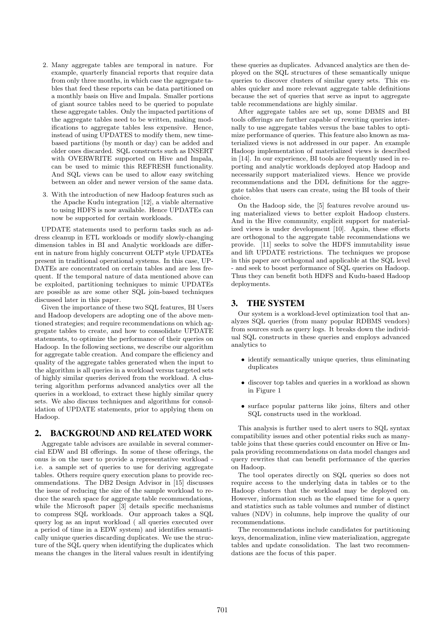- 2. Many aggregate tables are temporal in nature. For example, quarterly financial reports that require data from only three months, in which case the aggregate tables that feed these reports can be data partitioned on a monthly basis on Hive and Impala. Smaller portions of giant source tables need to be queried to populate these aggregate tables. Only the impacted partitions of the aggregate tables need to be written, making modifications to aggregate tables less expensive. Hence, instead of using UPDATES to modify them, new timebased partitions (by month or day) can be added and older ones discarded. SQL constructs such as INSERT with OVERWRITE supported on Hive and Impala, can be used to mimic this REFRESH functionality. And SQL views can be used to allow easy switching between an older and newer version of the same data.
- 3. With the introduction of new Hadoop features such as the Apache Kudu integration [12], a viable alternative to using HDFS is now available. Hence UPDATEs can now be supported for certain workloads.

UPDATE statements used to perform tasks such as address cleanup in ETL workloads or modify slowly-changing dimension tables in BI and Analytic workloads are different in nature from highly concurrent OLTP style UPDATEs present in traditional operational systems. In this case, UP-DATEs are concentrated on certain tables and are less frequent. If the temporal nature of data mentioned above can be exploited, partitioning techniques to mimic UPDATEs are possible as are some other SQL join-based techniques discussed later in this paper.

Given the importance of these two SQL features, BI Users and Hadoop developers are adopting one of the above mentioned strategies; and require recommendations on which aggregate tables to create, and how to consolidate UPDATE statements, to optimize the performance of their queries on Hadoop. In the following sections, we describe our algorithm for aggregate table creation. And compare the efficiency and quality of the aggregate tables generated when the input to the algorithm is all queries in a workload versus targeted sets of highly similar queries derived from the workload. A clustering algorithm performs advanced analytics over all the queries in a workload, to extract these highly similar query sets. We also discuss techniques and algorithms for consolidation of UPDATE statements, prior to applying them on Hadoop.

# 2. BACKGROUND AND RELATED WORK

Aggregate table advisors are available in several commercial EDW and BI offerings. In some of these offerings, the onus is on the user to provide a representative workload i.e. a sample set of queries to use for deriving aggregate tables. Others require query execution plans to provide recommendations. The DB2 Design Advisor in [15] discusses the issue of reducing the size of the sample workload to reduce the search space for aggregate table recommendations, while the Microsoft paper [3] details specific mechanisms to compress SQL workloads. Our approach takes a SQL query log as an input workload ( all queries executed over a period of time in a EDW system) and identifies semantically unique queries discarding duplicates. We use the structure of the SQL query when identifying the duplicates which means the changes in the literal values result in identifying these queries as duplicates. Advanced analytics are then deployed on the SQL structures of these semantically unique queries to discover clusters of similar query sets. This enables quicker and more relevant aggregate table definitions because the set of queries that serve as input to aggregate table recommendations are highly similar.

After aggregate tables are set up, some DBMS and BI tools offerings are further capable of rewriting queries internally to use aggregate tables versus the base tables to optimize performance of queries. This feature also known as materialized views is not addressed in our paper. An example Hadoop implementation of materialized views is described in [14]. In our experience, BI tools are frequently used in reporting and analytic workloads deployed atop Hadoop and necessarily support materialized views. Hence we provide recommendations and the DDL definitions for the aggregate tables that users can create, using the BI tools of their choice.

On the Hadoop side, the [5] features revolve around using materialized views to better exploit Hadoop clusters. And in the Hive community, explicit support for materialized views is under development [10]. Again, these efforts are orthogonal to the aggregate table recommendations we provide. [11] seeks to solve the HDFS immutability issue and lift UPDATE restrictions. The techniques we propose in this paper are orthogonal and applicable at the SQL level - and seek to boost performance of SQL queries on Hadoop. Thus they can benefit both HDFS and Kudu-based Hadoop deployments.

## 3. THE SYSTEM

Our system is a workload-level optimization tool that analyzes SQL queries (from many popular RDBMS vendors) from sources such as query logs. It breaks down the individual SQL constructs in these queries and employs advanced analytics to

- identify semantically unique queries, thus eliminating duplicates
- discover top tables and queries in a workload as shown in Figure 1
- surface popular patterns like joins, filters and other SQL constructs used in the workload.

This analysis is further used to alert users to SQL syntax compatibility issues and other potential risks such as manytable joins that these queries could encounter on Hive or Impala providing recommendations on data model changes and query rewrites that can benefit performance of the queries on Hadoop.

The tool operates directly on SQL queries so does not require access to the underlying data in tables or to the Hadoop clusters that the workload may be deployed on. However, information such as the elapsed time for a query and statistics such as table volumes and number of distinct values (NDV) in columns, help improve the quality of our recommendations.

The recommendations include candidates for partitioning keys, denormalization, inline view materialization, aggregate tables and update consolidation. The last two recommendations are the focus of this paper.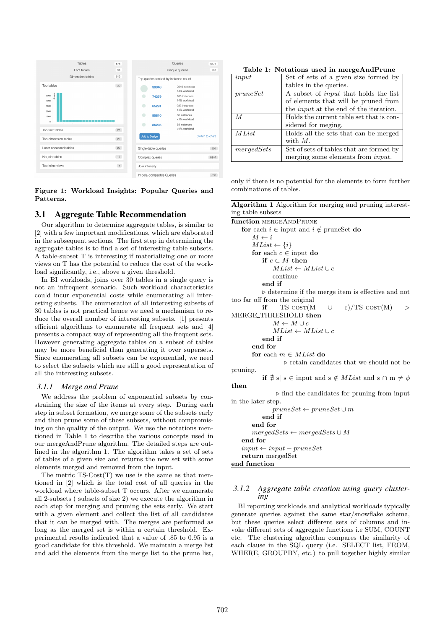|                           | Tables           | 578   |   |                      | Queries                              |
|---------------------------|------------------|-------|---|----------------------|--------------------------------------|
|                           | Fact tables      | 65    |   |                      | Unique queries                       |
|                           | Dimension tables | 513   |   |                      | Top queries ranked by instance count |
| Top tables                |                  | 20    |   | 39048                | 2949 instances<br>44% workload       |
| assa.<br>5000<br>4000     |                  |       |   | 74379                | 983 instances<br>14% workload        |
| 3000<br>2000              |                  |       | ۰ | 65291                | 983 instances<br>14% workload        |
| 1000<br>$\ddot{\text{o}}$ |                  |       | ۰ | 85810                | 60 instances<br><1% workload         |
| Top fact tables           |                  | 20    |   | 85295                | 58 instances<br><1% workload         |
|                           |                  | 20    |   | Add to Design        |                                      |
| Top dimension tables      |                  |       |   |                      |                                      |
| Least accessed tables     |                  | 20    |   | Single-table queries |                                      |
| No-join tables            |                  | 12    |   | Complex queries      |                                      |
| Top inline views          |                  | $4\,$ |   | Join intensity       |                                      |
|                           |                  |       |   |                      | Impala-compatible Queries            |

Figure 1: Workload Insights: Popular Queries and Patterns.

# 3.1 Aggregate Table Recommendation

Our algorithm to determine aggregate tables, is similar to [2] with a few important modifications, which are elaborated in the subsequent sections. The first step in determining the aggregate tables is to find a set of interesting table subsets. A table-subset T is interesting if materializing one or more views on T has the potential to reduce the cost of the workload significantly, i.e., above a given threshold.

In BI workloads, joins over 30 tables in a single query is not an infrequent scenario. Such workload characteristics could incur exponential costs while enumerating all interesting subsets. The enumeration of all interesting subsets of 30 tables is not practical hence we need a mechanism to reduce the overall number of interesting subsets. [1] presents efficient algorithms to enumerate all frequent sets and [4] presents a compact way of representing all the frequent sets. However generating aggregate tables on a subset of tables may be more beneficial than generating it over supersets. Since enumerating all subsets can be exponential, we need to select the subsets which are still a good representation of all the interesting subsets.

#### *3.1.1 Merge and Prune*

We address the problem of exponential subsets by constraining the size of the items at every step. During each step in subset formation, we merge some of the subsets early and then prune some of these subsets, without compromising on the quality of the output. We use the notations mentioned in Table 1 to describe the various concepts used in our mergeAndPrune algorithm. The detailed steps are outlined in the algorithm 1. The algorithm takes a set of sets of tables of a given size and returns the new set with some elements merged and removed from the input.

The metric  $TS\text{-}Cost(T)$  we use is the same as that mentioned in [2] which is the total cost of all queries in the workload where table-subset T occurs. After we enumerate all 2-subsets ( subsets of size 2) we execute the algorithm in each step for merging and pruning the sets early. We start with a given element and collect the list of all candidates that it can be merged with. The merges are performed as long as the merged set is within a certain threshold. Experimental results indicated that a value of .85 to 0.95 is a good candidate for this threshold. We maintain a merge list and add the elements from the merge list to the prune list,

Table 1: Notations used in mergeAndPrune

| input          | Set of sets of a given size formed by         |
|----------------|-----------------------------------------------|
|                | tables in the queries.                        |
| pruneSet       | A subset of <i>input</i> that holds the list  |
|                | of elements that will be pruned from          |
|                | the <i>input</i> at the end of the iteration. |
| $\overline{M}$ | Holds the current table set that is con-      |
|                | sidered for meging.                           |
| MList          | Holds all the sets that can be merged         |
|                | with $M$ .                                    |
| mergedSets     | Set of sets of tables that are formed by      |
|                | merging some elements from <i>input</i> .     |

only if there is no potential for the elements to form further combinations of tables.

Algorithm 1 Algorithm for merging and pruning interesting table subsets

| function MERGEANDPRUNE                                                               |
|--------------------------------------------------------------------------------------|
| for each $i \in \text{input}$ and $i \notin \text{pruneSet}$ do                      |
| $M \leftarrow i$                                                                     |
| $MList \leftarrow \{i\}$                                                             |
| for each $c \in \text{input }$ do                                                    |
| if $c \subset M$ then                                                                |
| $MList \leftarrow MList \cup c$                                                      |
| continue                                                                             |
| end if                                                                               |
| $\triangleright$ determine if the merge item is effective and not                    |
| too far off from the original                                                        |
| $if$ TS- $\cos$ T(M<br>$\cup$ c)/TS- $\cos$ T(M)<br>$\rm{>}$                         |
| MERGE_THRESHOLD then                                                                 |
| $M \leftarrow M \cup c$                                                              |
| $MList \leftarrow MList \cup c$                                                      |
| end if                                                                               |
| end for                                                                              |
| for each $m \in MList$ do                                                            |
| $\triangleright$ retain candidates that we should not be                             |
| pruning.                                                                             |
| if $\sharp$ s s $\in$ input and s $\notin$ <i>MList</i> and s $\cap$ m $\neq$ $\phi$ |
| then                                                                                 |
| $\triangleright$ find the candidates for pruning from input                          |
| in the later step.                                                                   |
| $pruneSet \leftarrow pruneSet \cup m$                                                |
| end if                                                                               |
| end for                                                                              |
| $mergedSets \leftarrow mergedSets \cup M$                                            |
| end for                                                                              |
| $input \leftarrow input - pruneSet$                                                  |
| return mergedSet                                                                     |
| end function                                                                         |

## *3.1.2 Aggregate table creation using query clustering*

BI reporting workloads and analytical workloads typically generate queries against the same star/snowflake schema, but these queries select different sets of columns and invoke different sets of aggregate functions i.e SUM, COUNT etc. The clustering algorithm compares the similarity of each clause in the SQL query (i.e. SELECT list, FROM, WHERE, GROUPBY, etc.) to pull together highly similar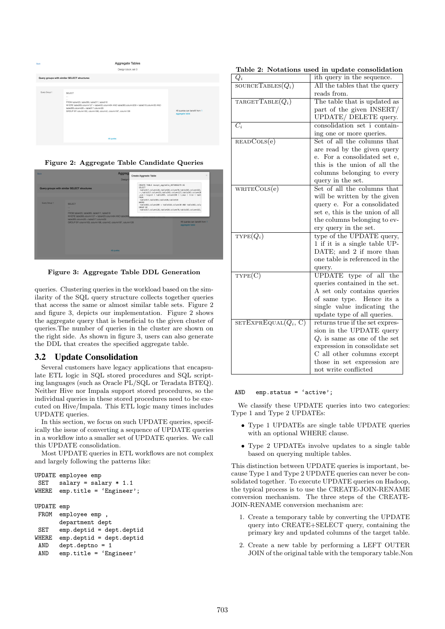

Figure 2: Aggregate Table Candidate Queries



Figure 3: Aggregate Table DDL Generation

queries. Clustering queries in the workload based on the similarity of the SQL query structure collects together queries that access the same or almost similar table sets. Figure 2 and figure 3, depicts our implementation. Figure 2 shows the aggregate query that is beneficial to the given cluster of queries.The number of queries in the cluster are shown on the right side. As shown in figure 3, users can also generate the DDL that creates the specified aggregate table.

## 3.2 Update Consolidation

Several customers have legacy applications that encapsulate ETL logic in SQL stored procedures and SQL scripting languages (such as Oracle PL/SQL or Teradata BTEQ). Neither Hive nor Impala support stored procedures, so the individual queries in these stored procedures need to be executed on Hive/Impala. This ETL logic many times includes UPDATE queries.

In this section, we focus on such UPDATE queries, specifically the issue of converting a sequence of UPDATE queries in a workflow into a smaller set of UPDATE queries. We call this UPDATE consolidation.

Most UPDATE queries in ETL workflows are not complex and largely following the patterns like:

```
UPDATE employee emp
SET salary = salary * 1.1
WHERE emp.title = 'Engineer';
UPDATE emp
FROM employee emp ,
       department dept
SET emp.deptid = dept.deptid<br>WHERE emp.deptid = dept.deptid
       emp.deptid = dept.deptidAND dept.deptno = 1
 AND emp.title = 'Engineer'
```

|  |  |  |  |  | Table 2: Notations used in update consolidation |
|--|--|--|--|--|-------------------------------------------------|
|--|--|--|--|--|-------------------------------------------------|

| $\mathnormal{Q}_{i}$   | ith query in the sequence.      |
|------------------------|---------------------------------|
| SOURCETABLES $(Q_i)$   | All the tables that the query   |
|                        | reads from.                     |
| TARGETTABLE $(Q_i)$    | The table that is updated as    |
|                        | part of the given INSERT/       |
|                        | UPDATE/ DELETE query.           |
| $\overline{C_i}$       | consolidation set i contain-    |
|                        | ing one or more queries.        |
| READCOLS(e)            | Set of all the columns that     |
|                        | are read by the given query     |
|                        | e. For a consolidated set e,    |
|                        | this is the union of all the    |
|                        | columns belonging to every      |
|                        | query in the set.               |
| WRITECOLS(e)           | Set of all the columns that     |
|                        | will be written by the given    |
|                        | query e. For a consolidated     |
|                        | set e, this is the union of all |
|                        | the columns belonging to ev-    |
|                        | ery query in the set.           |
| $\text{TYPE}(Q_i)$     | type of the UPDATE query,       |
|                        | 1 if it is a single table UP-   |
|                        | DATE; and 2 if more than        |
|                        | one table is referenced in the  |
|                        | query.                          |
| TYPE(C)                | UPDATE type of all the          |
|                        | queries contained in the set.   |
|                        | A set only contains queries     |
|                        | Hence its a<br>of same type.    |
|                        | single value indicating the     |
|                        | update type of all queries.     |
| $SETEXPREQUAL(Q_i, C)$ | returns true if the set expres- |
|                        | sion in the UPDATE query        |
|                        | $Q_i$ is same as one of the set |
|                        | expression in consolidate set   |
|                        | C all other columns except      |
|                        | those in set expression are     |
|                        | not write conflicted            |

#### AND emp.status = 'active';

We classify these UPDATE queries into two categories: Type 1 and Type 2 UPDATEs:

- Type 1 UPDATEs are single table UPDATE queries with an optional WHERE clause.
- Type 2 UPDATEs involve updates to a single table based on querying multiple tables.

This distinction between UPDATE queries is important, because Type 1 and Type 2 UPDATE queries can never be consolidated together. To execute UPDATE queries on Hadoop, the typical process is to use the CREATE-JOIN-RENAME conversion mechanism. The three steps of the CREATE-JOIN-RENAME conversion mechanism are:

- 1. Create a temporary table by converting the UPDATE query into CREATE+SELECT query, containing the primary key and updated columns of the target table.
- 2. Create a new table by performing a LEFT OUTER JOIN of the original table with the temporary table.Non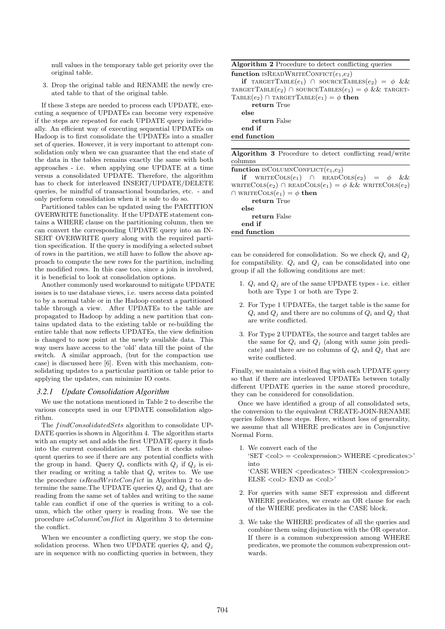null values in the temporary table get priority over the original table.

3. Drop the original table and RENAME the newly created table to that of the original table.

If these 3 steps are needed to process each UPDATE, executing a sequence of UPDATEs can become very expensive if the steps are repeated for each UPDATE query individually. An efficient way of executing sequential UPDATEs on Hadoop is to first consolidate the UPDATEs into a smaller set of queries. However, it is very important to attempt consolidation only when we can guarantee that the end state of the data in the tables remains exactly the same with both approaches - i.e. when applying one UPDATE at a time versus a consolidated UPDATE. Therefore, the algorithm has to check for interleaved INSERT/UPDATE/DELETE queries, be mindful of transactional boundaries, etc. - and only perform consolidation when it is safe to do so.

Partitioned tables can be updated using the PARTITION OVERWRITE functionality. If the UPDATE statement contains a WHERE clause on the partitioning column, then we can convert the corresponding UPDATE query into an IN-SERT OVERWRITE query along with the required partition specification. If the query is modifying a selected subset of rows in the partition, we still have to follow the above approach to compute the new rows for the partition, including the modified rows. In this case too, since a join is involved, it is beneficial to look at consolidation options.

Another commonly used workaround to mitigate UPDATE issues is to use database views, i.e. users access data pointed to by a normal table or in the Hadoop context a partitioned table through a view. After UPDATEs to the table are propagated to Hadoop by adding a new partition that contains updated data to the existing table or re-building the entire table that now reflects UPDATEs, the view definition is changed to now point at the newly available data. This way users have access to the 'old' data till the point of the switch. A similar approach, (but for the compaction use case) is discussed here [6]. Even with this mechanism, consolidating updates to a particular partition or table prior to applying the updates, can minimize IO costs.

#### *3.2.1 Update Consolidation Algorithm*

We use the notations mentioned in Table 2 to describe the various concepts used in our UPDATE consolidation algorithm.

The findConsolidatedSets algorithm to consolidate UP-DATE queries is shown in Algorithm 4. The algorithm starts with an empty set and adds the first UPDATE query it finds into the current consolidation set. Then it checks subsequent queries to see if there are any potential conflicts with the group in hand. Query  $Q_i$  conflicts with  $Q_j$  if  $Q_j$  is either reading or writing a table that  $Q_i$  writes to. We use the procedure  $isReadWriteConfit$  in Algorithm 2 to determine the same. The UPDATE queries  $Q_i$  and  $Q_j$  that are reading from the same set of tables and writing to the same table can conflict if one of the queries is writing to a column, which the other query is reading from. We use the procedure  $isColumnConflict$  in Algorithm 3 to determine the conflict.

When we encounter a conflicting query, we stop the consolidation process. When two UPDATE queries  $Q_i$  and  $Q_j$ are in sequence with no conflicting queries in between, they Algorithm 2 Procedure to detect conflicting queries function ISREADWRITECONFICT $(e_1,e_2)$ if TARGETTABLE $(e_1)$   $\cap$  sourceTables $(e_2) = \phi$  && TARGETTABLE $(e_2)$   $\cap$  sourceTables $(e_1) = \phi$  & target-TABLE $(e_2)$   $\cap$  TARGETTABLE $(e_1) = \phi$  then return True else return False end if end function

| <b>Algorithm 3</b> Procedure to detect conflicting read/write        |
|----------------------------------------------------------------------|
| columns                                                              |
| function ISCOLUMNCONFLICT $(e_1,e_2)$                                |
| <b>if</b> $WRITECOLS(e_1)$ $\cap$ $READCOLS(e_2) = \phi \&&$         |
| WRITECOLS $(e_2)$ $\cap$ READCOLS $(e_1) = \phi$ & wRITECOLS $(e_2)$ |
| $\cap$ WRITECOLS $(e_1) = \phi$ then                                 |
| return True                                                          |
| else                                                                 |
| return False                                                         |
| end if                                                               |
| end function                                                         |

can be considered for consolidation. So we check  $Q_i$  and  $Q_j$ for compatibility.  $Q_i$  and  $Q_j$  can be consolidated into one group if all the following conditions are met:

- 1.  $Q_i$  and  $Q_j$  are of the same UPDATE types i.e. either both are Type 1 or both are Type 2.
- 2. For Type 1 UPDATEs, the target table is the same for  $Q_i$  and  $Q_j$  and there are no columns of  $Q_i$  and  $Q_j$  that are write conflicted.
- 3. For Type 2 UPDATEs, the source and target tables are the same for  $Q_i$  and  $Q_j$  (along with same join predicate) and there are no columns of  $Q_i$  and  $Q_j$  that are write conflicted.

Finally, we maintain a visited flag with each UPDATE query so that if there are interleaved UPDATEs between totally different UPDATE queries in the same stored procedure, they can be considered for consolidation.

Once we have identified a group of all consolidated sets, the conversion to the equivalent CREATE-JOIN-RENAME queries follows these steps. Here, without loss of generality, we assume that all WHERE predicates are in Conjunctive Normal Form.

1. We convert each of the  $'SET < col> = colexpression > WHERE < predicates>$ ' into

'CASE WHEN <predicates> THEN <colexpression>  $ELSE <$ col $>$  END as  $<$ col $>$ '

- 2. For queries with same SET expression and different WHERE predicates, we create an OR clause for each of the WHERE predicates in the CASE block.
- 3. We take the WHERE predicates of all the queries and combine them using disjunction with the OR operator. If there is a common subexpression among WHERE predicates, we promote the common subexpression outwards.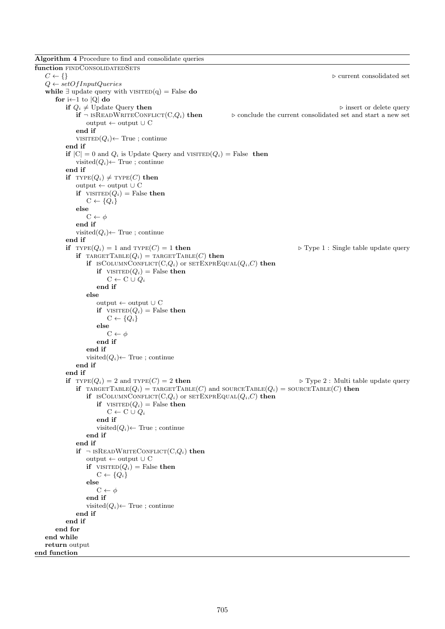Algorithm 4 Procedure to find and consolidate queries function <code>FINDCONSOLIDATEDSETS</code>  $C \leftarrow \{\}$  $\triangleright$  current consolidated set  $Q \leftarrow setOfInputQueries$ while  $\exists$  update query with VISITED(q) = False do for i $\leftarrow$ 1 to  $|Q|$  do **if**  $Q_i \neq U$  pdate Query **then** . if  $\neg$  is READWRITECONFLICT(C,Q<sub>i</sub>) **then** .  $\triangleright$  conclude the current consolidated set and start a new set  $\triangleright$  conclude the current consolidated set and start a new set output  $\leftarrow$  output ∪ C end if  $VISTED(Q<sub>i</sub>) ← True$ ; continue end if if  $|C| = 0$  and  $Q_i$  is Update Query and VISITED $(Q_i)$  = False then visited $(Q_i)$ ← True; continue end if if  $\text{Type}(Q_i) \neq \text{Type}(C)$  then output ← output ∪ C if  $VISTED(Q_i) = False$  then  $C \leftarrow \{Q_i\}$ else  $C \leftarrow \phi$ end if visited $(Q_i)$ ← True; continue end if if  $\text{Type}(Q_i) = 1$  and  $\text{Type}(C) = 1$  then  $\blacktriangleright$  Type 1 : Single table update query if  $\text{tr}_G \text{tr}_G(G_i) = \text{tr}_G \text{tr}_G(G)$  then if ISCOLUMNCONFLICT(C,Q<sub>i</sub>) or SETEXPREQUAL( $Q_i$ ,C) then if  $VISTED(Q_i) = False$  then  $C \leftarrow C \cup Q_i$ end if else output ← output ∪ C if  $VISTED(Q_i)$  = False then  $C \leftarrow \{Q_i\}$ else  $C \leftarrow \phi$ end if end if visited $(Q_i)$ ← True ; continue end if end if if  $TYPE(Q_i) = 2$  and  $TYPE(C) = 2$  then  $\triangleright$  Type 2 : Multi table update query if  $\text{TARGE}(Q_i) = \text{TARGE}(C)$  and  $\text{sourceTABLE}(Q_i) = \text{sourceTABLE}(C)$  then if  $\text{ISCOLUTION}$ CONFLICT $(C,Q_i)$  or  $\text{SETEXPREQUAL}(Q_i,C)$  then if  $VISTED(Q_i) = False$  then  $C \leftarrow C \cup Q_i$ end if visited $(Q_i)$ ← True; continue end if end if if  $\neg$  ISREADWRITECONFLICT(C,Q<sub>i</sub>) then output  $\leftarrow$  output ∪ C if  $VISTED(Q_i)$  = False then  $C \leftarrow \{Q_i\}$ else  $C \leftarrow \phi$ end if visited $(Q_i)$ ← True; continue end if end if end for end while return output end function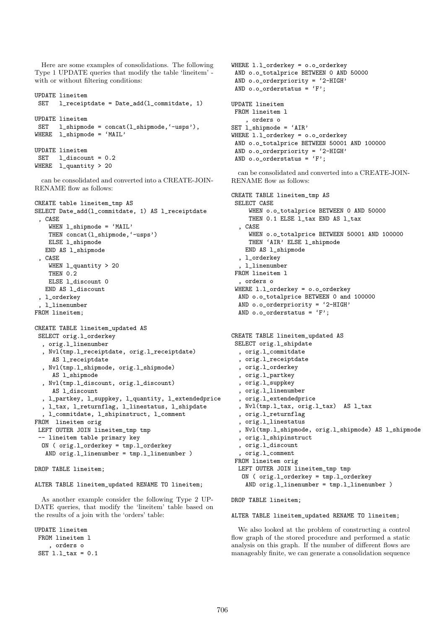Here are some examples of consolidations. The following Type 1 UPDATE queries that modify the table 'lineitem' with or without filtering conditions:

```
UPDATE lineitem
SET l_receiptdate = Date_add(l_commitdate, 1)
UPDATE lineitem
SET l_shipmode = concat(l_shipmode,'-usps'),
WHERE l_shipmode = 'MAIL'
UPDATE lineitem
SET l_discount = 0.2
WHERE 1_quantity > 20
```
can be consolidated and converted into a CREATE-JOIN-RENAME flow as follows:

```
CREATE table lineitem_tmp AS
SELECT Date_add(l_commitdate, 1) AS l_receiptdate
 , CASE
    WHEN l_shipmode = 'MAIL'
   THEN concat(l_shipmode,'-usps')
   ELSE l_shipmode
  END AS l_shipmode
 , CASE
   WHEN 1_quantity > 20
   THEN 0.2
   ELSE l_discount 0
   END AS l_discount
 , l_orderkey
 , l_linenumber
FROM lineitem;
CREATE TABLE lineitem_updated AS
SELECT orig.l_orderkey
  , orig.l_linenumber
  , Nvl(tmp.l_receiptdate, orig.l_receiptdate)
    AS l_receiptdate
  , Nvl(tmp.l_shipmode, orig.l_shipmode)
    AS l_shipmode
  , Nvl(tmp.l_discount, orig.l_discount)
    AS l_discount
  , l_partkey, l_suppkey, l_quantity, l_extendedprice
  , l_tax, l_returnflag, l_linestatus, l_shipdate
  , l_commitdate, l_shipinstruct, l_comment
```

```
FROM lineitem orig
LEFT OUTER JOIN lineitem_tmp tmp
 -- lineitem table primary key
 ON ( orig.l_orderkey = tmp.l_orderkey
   AND orig.l_linenumber = tmp.l_linenumber )
```

```
DROP TABLE lineitem;
```
ALTER TABLE lineitem\_updated RENAME TO lineitem;

As another example consider the following Type 2 UP-DATE queries, that modify the 'lineitem' table based on the results of a join with the 'orders' table:

```
UPDATE lineitem
FROM lineitem l
    , orders o
SET l.l_tax = 0.1
```

```
WHERE l.l_orderkey = o.o_orderkey
 AND o.o_totalprice BETWEEN 0 AND 50000
 AND o.o_orderpriority = '2-HIGH'
 AND o.o\_orderstatus = 'F';
UPDATE lineitem
FROM lineitem l
    , orders o
SET l_shipmode = 'AIR'
WHERE l.l_orderkey = o.o_orderkey
 AND o.o_totalprice BETWEEN 50001 AND 100000
 AND o.o_orderpriority = '2-HIGH'
 AND \circ \cdot \circ \_orderstatus = 'F';
```
can be consolidated and converted into a CREATE-JOIN-RENAME flow as follows:

```
CREATE TABLE lineitem_tmp AS
SELECT CASE
    WHEN o.o_totalprice BETWEEN 0 AND 50000
    THEN 0.1 ELSE l_tax END AS l_tax
  , CASE
    WHEN o.o_totalprice BETWEEN 50001 AND 100000
    THEN 'AIR' ELSE l_shipmode
   END AS l_shipmode
  , l_orderkey
  , l_linenumber
FROM lineitem l
  , orders o
WHERE l.l_orderkey = o.o_orderkey
 AND o.o_totalprice BETWEEN 0 and 100000
 AND o.o_orderpriority = '2-HIGH'
 AND o.o\_orderstatus = 'F';
CREATE TABLE lineitem_updated AS
SELECT orig.l_shipdate
  , orig.l_commitdate
  , orig.l_receiptdate
 , orig.l_orderkey
 , orig.l_partkey
  , orig.l_suppkey
  , orig.l_linenumber
  , orig.l_extendedprice
  , Nvl(tmp.l_tax, orig.l_tax) AS l_tax
  , orig.l_returnflag
  , orig.l_linestatus
  , Nvl(tmp.l_shipmode, orig.l_shipmode) AS l_shipmode
  , orig.l_shipinstruct
  , orig.l_discount
  , orig.l_comment
FROM lineitem orig
 LEFT OUTER JOIN lineitem_tmp tmp
```
DROP TABLE lineitem;

#### ALTER TABLE lineitem\_updated RENAME TO lineitem;

ON ( orig.l\_orderkey = tmp.l\_orderkey AND orig.l\_linenumber = tmp.l\_linenumber )

We also looked at the problem of constructing a control flow graph of the stored procedure and performed a static analysis on this graph. If the number of different flows are manageably finite, we can generate a consolidation sequence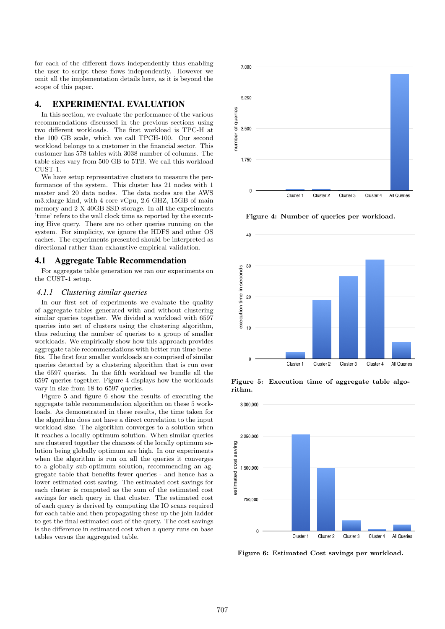for each of the different flows independently thus enabling the user to script these flows independently. However we omit all the implementation details here, as it is beyond the scope of this paper.

# 4. EXPERIMENTAL EVALUATION

In this section, we evaluate the performance of the various recommendations discussed in the previous sections using two different workloads. The first workload is TPC-H at the 100 GB scale, which we call TPCH-100. Our second workload belongs to a customer in the financial sector. This customer has 578 tables with 3038 number of columns. The table sizes vary from 500 GB to 5TB. We call this workload CUST-1.

We have setup representative clusters to measure the performance of the system. This cluster has 21 nodes with 1 master and 20 data nodes. The data nodes are the AWS m3.xlarge kind, with 4 core vCpu, 2.6 GHZ, 15GB of main memory and 2 X 40GB SSD storage. In all the experiments 'time' refers to the wall clock time as reported by the executing Hive query. There are no other queries running on the system. For simplicity, we ignore the HDFS and other OS caches. The experiments presented should be interpreted as directional rather than exhaustive empirical validation.

#### 4.1 Aggregate Table Recommendation

For aggregate table generation we ran our experiments on the CUST-1 setup.

#### *4.1.1 Clustering similar queries*

In our first set of experiments we evaluate the quality of aggregate tables generated with and without clustering similar queries together. We divided a workload with 6597 queries into set of clusters using the clustering algorithm, thus reducing the number of queries to a group of smaller workloads. We empirically show how this approach provides aggregate table recommendations with better run time benefits. The first four smaller workloads are comprised of similar queries detected by a clustering algorithm that is run over the 6597 queries. In the fifth workload we bundle all the 6597 queries together. Figure 4 displays how the workloads vary in size from 18 to 6597 queries.

Figure 5 and figure 6 show the results of executing the aggregate table recommendation algorithm on these 5 workloads. As demonstrated in these results, the time taken for the algorithm does not have a direct correlation to the input workload size. The algorithm converges to a solution when it reaches a locally optimum solution. When similar queries are clustered together the chances of the locally optimum solution being globally optimum are high. In our experiments when the algorithm is run on all the queries it converges to a globally sub-optimum solution, recommending an aggregate table that benefits fewer queries - and hence has a lower estimated cost saving. The estimated cost savings for each cluster is computed as the sum of the estimated cost savings for each query in that cluster. The estimated cost of each query is derived by computing the IO scans required for each table and then propagating these up the join ladder to get the final estimated cost of the query. The cost savings is the difference in estimated cost when a query runs on base tables versus the aggregated table.



Figure 4: Number of queries per workload.



Figure 5: Execution time of aggregate table algorithm.



Figure 6: Estimated Cost savings per workload.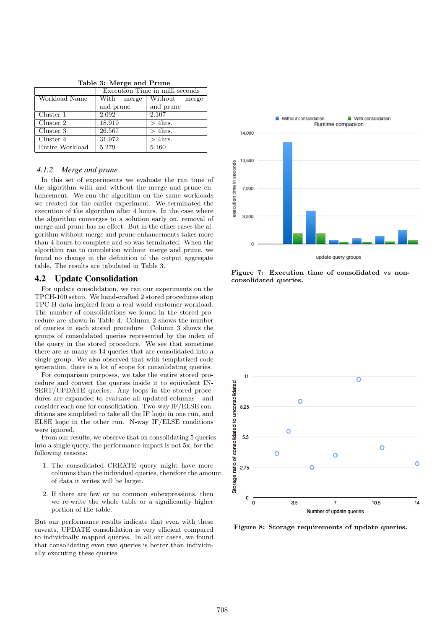|                 | Execution Time in milli seconds |                  |  |  |  |
|-----------------|---------------------------------|------------------|--|--|--|
| Workload Name   | With<br>merge                   | Without<br>merge |  |  |  |
|                 | and prune                       | and prune        |  |  |  |
| Cluster 1       | 2.092                           | 2.107            |  |  |  |
| Cluster 2       | 18.919                          | $>$ 4hrs.        |  |  |  |
| Cluster 3       | 26.567                          | $>$ 4hrs.        |  |  |  |
| Cluster 4       | 31.972                          | $>$ 4hrs.        |  |  |  |
| Entire Workload | 5.279                           | 5.160            |  |  |  |

Table 3: Merge and Prune

### *4.1.2 Merge and prune*

In this set of experiments we evaluate the run time of the algorithm with and without the merge and prune enhancement. We run the algorithm on the same workloads we created for the earlier experiment. We terminated the execution of the algorithm after 4 hours. In the case where the algorithm converges to a solution early on, removal of merge and prune has no effect. But in the other cases the algorithm without merge and prune enhancements takes more than 4 hours to complete and so was terminated. When the algorithm ran to completion without merge and prune, we found no change in the definition of the output aggregate table. The results are tabulated in Table 3.

### 4.2 Update Consolidation

For update consolidation, we ran our experiments on the TPCH-100 setup. We hand-crafted 2 stored procedures atop TPC-H data inspired from a real world customer workload. The number of consolidations we found in the stored procedure are shown in Table 4. Column 2 shows the number of queries in each stored procedure. Column 3 shows the groups of consolidated queries represented by the index of the query in the stored procedure. We see that sometime there are as many as 14 queries that are consolidated into a single group. We also observed that with templatized code generation, there is a lot of scope for consolidating queries.

For comparison purposes, we take the entire stored procedure and convert the queries inside it to equivalent IN-SERT/UPDATE queries. Any loops in the stored procedures are expanded to evaluate all updated columns - and consider each one for consolidation. Two-way IF/ELSE conditions are simplified to take all the IF logic in one run, and ELSE logic in the other run. N-way IF/ELSE conditions were ignored.

From our results, we observe that on consolidating 5 queries into a single query, the performance impact is not 5x, for the following reasons:

- 1. The consolidated CREATE query might have more columns than the individual queries, therefore the amount of data it writes will be larger.
- 2. If there are few or no common subexpressions, then we re-write the whole table or a significantly higher portion of the table.

But our performance results indicate that even with these caveats, UPDATE consolidation is very efficient compared to individually mapped queries. In all our cases, we found that consolidating even two queries is better than individually executing these queries.



Figure 7: Execution time of consolidated vs nonconsolidated queries.



Figure 8: Storage requirements of update queries.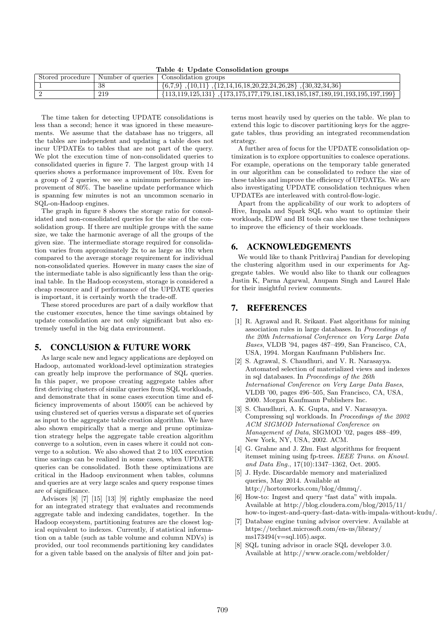Table 4: Update Consolidation groups

| Stored procedure | Number of queries 1 | Consolidation groups                                                                                  |
|------------------|---------------------|-------------------------------------------------------------------------------------------------------|
|                  | 38                  | $\{6,7,9\}$ , $\{10,11\}$ , $\{12,14,16,18,20,22,24,26,28\}$ , $\{30,32,34,36\}$                      |
|                  | 219                 | $\{113, 119, 125, 131\}$ , $\{173, 175, 177, 179, 181, 183, 185, 187, 189, 191, 193, 195, 197, 199\}$ |

The time taken for detecting UPDATE consolidations is less than a second; hence it was ignored in these measurements. We assume that the database has no triggers, all the tables are independent and updating a table does not incur UPDATEs to tables that are not part of the query. We plot the execution time of non-consolidated queries to consolidated queries in figure 7. The largest group with 14 queries shows a performance improvement of 10x. Even for a group of 2 queries, we see a minimum performance improvement of 80%. The baseline update performance which is spanning few minutes is not an uncommon scenario in SQL-on-Hadoop engines.

The graph in figure 8 shows the storage ratio for consolidated and non-consolidated queries for the size of the consolidation group. If there are multiple groups with the same size, we take the harmonic average of all the groups of the given size. The intermediate storage required for consolidation varies from approximately 2x to as large as 10x when compared to the average storage requirement for individual non-consolidated queries. However in many cases the size of the intermediate table is also significantly less than the original table. In the Hadoop ecosystem, storage is considered a cheap resource and if performance of the UPDATE queries is important, it is certainly worth the trade-off.

These stored procedures are part of a daily workflow that the customer executes, hence the time savings obtained by update consolidation are not only significant but also extremely useful in the big data environment.

### 5. CONCLUSION & FUTURE WORK

As large scale new and legacy applications are deployed on Hadoop, automated workload-level optimization strategies can greatly help improve the performance of SQL queries. In this paper, we propose creating aggregate tables after first deriving clusters of similar queries from SQL workloads, and demonstrate that in some cases execution time and efficiency improvements of about 1500% can be achieved by using clustered set of queries versus a disparate set of queries as input to the aggregate table creation algorithm. We have also shown empirically that a merge and prune optimization strategy helps the aggregate table creation algorithm converge to a solution, even in cases where it could not converge to a solution. We also showed that 2 to 10X execution time savings can be realized in some cases, when UPDATE queries can be consolidated. Both these optimizations are critical in the Hadoop environment when tables, columns and queries are at very large scales and query response times are of significance.

Advisors [8] [7] [15] [13] [9] rightly emphasize the need for an integrated strategy that evaluates and recommends aggregate table and indexing candidates, together. In the Hadoop ecosystem, partitioning features are the closest logical equivalent to indexes. Currently, if statistical information on a table (such as table volume and column NDVs) is provided, our tool recommends partitioning key candidates for a given table based on the analysis of filter and join pat-

terns most heavily used by queries on the table. We plan to extend this logic to discover partitioning keys for the aggregate tables, thus providing an integrated recommendation strategy.

A further area of focus for the UPDATE consolidation optimization is to explore opportunities to coalesce operations. For example, operations on the temporary table generated in our algorithm can be consolidated to reduce the size of these tables and improve the efficiency of UPDATEs. We are also investigating UPDATE consolidation techniques when UPDATEs are interleaved with control-flow-logic.

Apart from the applicability of our work to adopters of Hive, Impala and Spark SQL who want to optimize their workloads, EDW and BI tools can also use these techniques to improve the efficiency of their workloads.

## 6. ACKNOWLEDGEMENTS

We would like to thank Prithviraj Pandian for developing the clustering algorithm used in our experiments for Aggregate tables. We would also like to thank our colleagues Justin K, Parna Agarwal, Anupam Singh and Laurel Hale for their insightful review comments.

# 7. REFERENCES

- [1] R. Agrawal and R. Srikant. Fast algorithms for mining association rules in large databases. In Proceedings of the 20th International Conference on Very Large Data Bases, VLDB '94, pages 487–499, San Francisco, CA, USA, 1994. Morgan Kaufmann Publishers Inc.
- [2] S. Agrawal, S. Chaudhuri, and V. R. Narasayya. Automated selection of materialized views and indexes in sql databases. In Proceedings of the 26th International Conference on Very Large Data Bases, VLDB '00, pages 496–505, San Francisco, CA, USA, 2000. Morgan Kaufmann Publishers Inc.
- [3] S. Chaudhuri, A. K. Gupta, and V. Narasayya. Compressing sql workloads. In Proceedings of the 2002 ACM SIGMOD International Conference on Management of Data, SIGMOD '02, pages 488–499, New York, NY, USA, 2002. ACM.
- [4] G. Grahne and J. Zhu. Fast algorithms for frequent itemset mining using fp-trees. IEEE Trans. on Knowl. and Data Eng., 17(10):1347–1362, Oct. 2005.
- [5] J. Hyde. Discardable memory and materialized queries, May 2014. Available at http://hortonworks.com/blog/dmmq/.
- [6] How-to: Ingest and query "fast data" with impala. Available at http://blog.cloudera.com/blog/2015/11/ how-to-ingest-and-query-fast-data-with-impala-without-kudu/.
- [7] Database engine tuning advisor overview. Available at https://technet.microsoft.com/en-us/library/  $ms173494(v=sal.105)$ .aspx.
- [8] SQL tuning advisor in oracle SQL developer 3.0. Available at http://www.oracle.com/webfolder/